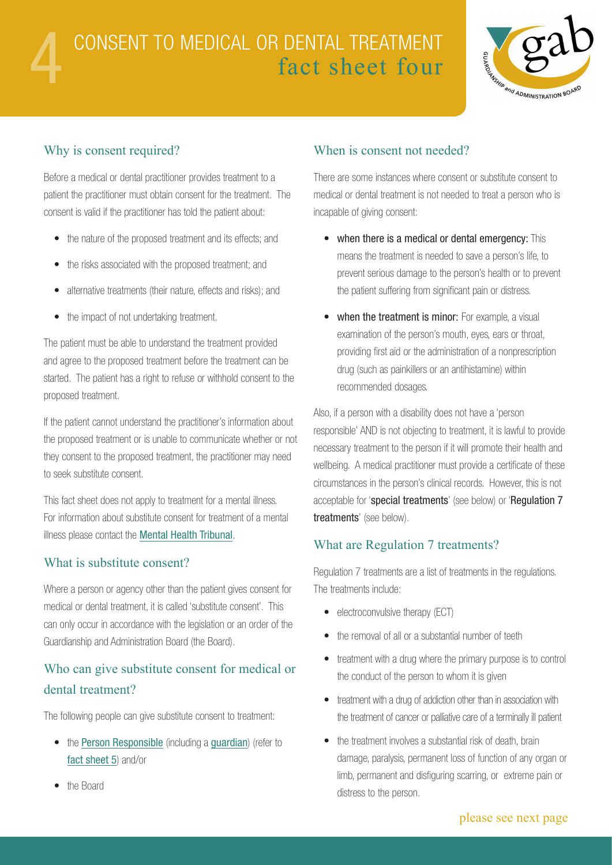

#### Why is consent required?

Before a medical or dental practitioner provides treatment to a patient the practitioner must obtain consent for the treatment. The consent is valid if the practitioner has told the patient about:

- the nature of the proposed treatment and its effects; and
- the risks associated with the proposed treatment; and
- alternative treatments (their nature, effects and risks); and
- the impact of not undertaking treatment.

The patient must be able to understand the treatment provided and agree to the proposed treatment before the treatment can be started. The patient has a right to refuse or withhold consent to the proposed treatment.

If the patient cannot understand the practitioner's information about the proposed treatment or is unable to communicate whether or not they consent to the proposed treatment, the practitioner may need to seek substitute consent.

This fact sheet does not apply to treatment for a mental illness. For information about substitute consent for treatment of a mental illness please contact the [Mental Health Tribunal](http://www.mentalhealthtribunal.tas.gov.au/).

#### What is substitute consent?

Where a person or agency other than the patient gives consent for medical or dental treatment, it is called 'substitute consent'. This can only occur in accordance with the legislation or an order of the Guardianship and Administration Board (the Board).

# Who can give substitute consent for medical or dental treatment?

The following people can give substitute consent to treatment:

• the [Person Responsible](http://www.guardianship.tas.gov.au/__data/assets/pdf_file/0006/67056/5_Consent_to_Medical_or_Dental_Treatment_by_a_person_responsible.pdf) (including a [guardian](http://www.guardianship.tas.gov.au/__data/assets/pdf_file/0003/67053/2_Guardianship.pdf)) (refer to [fact sheet 5](http://www.guardianship.tas.gov.au/__data/assets/pdf_file/0006/67056/5_Consent_to_Medical_or_Dental_Treatment_by_a_person_responsible.pdf)) and/or

### When is consent not needed?

There are some instances where consent or substitute consent to medical or dental treatment is not needed to treat a person who is incapable of giving consent:

- when there is a medical or dental emergency: This means the treatment is needed to save a person's life, to prevent serious damage to the person's health or to prevent the patient suffering from significant pain or distress.
- when the treatment is minor: For example, a visual examination of the person's mouth, eyes, ears or throat, providing first aid or the administration of a nonprescription drug (such as painkillers or an antihistamine) within recommended dosages.

Also, if a person with a disability does not have a 'person responsible' AND is not objecting to treatment, it is lawful to provide necessary treatment to the person if it will promote their health and wellbeing. A medical practitioner must provide a certificate of these circumstances in the person's clinical records. However, this is not acceptable for 'special treatments' (see below) or 'Regulation 7 treatments' (see below).

#### What are Regulation 7 treatments?

Regulation 7 treatments are a list of treatments in the regulations. The treatments include:

- electroconvulsive therapy (ECT)
- the removal of all or a substantial number of teeth
- treatment with a drug where the primary purpose is to control the conduct of the person to whom it is given
- treatment with a drug of addiction other than in association with the treatment of cancer or palliative care of a terminally ill patient
- the treatment involves a substantial risk of death, brain damage, paralysis, permanent loss of function of any organ or limb, permanent and disfiguring scarring, or extreme pain or distress to the person.

the Board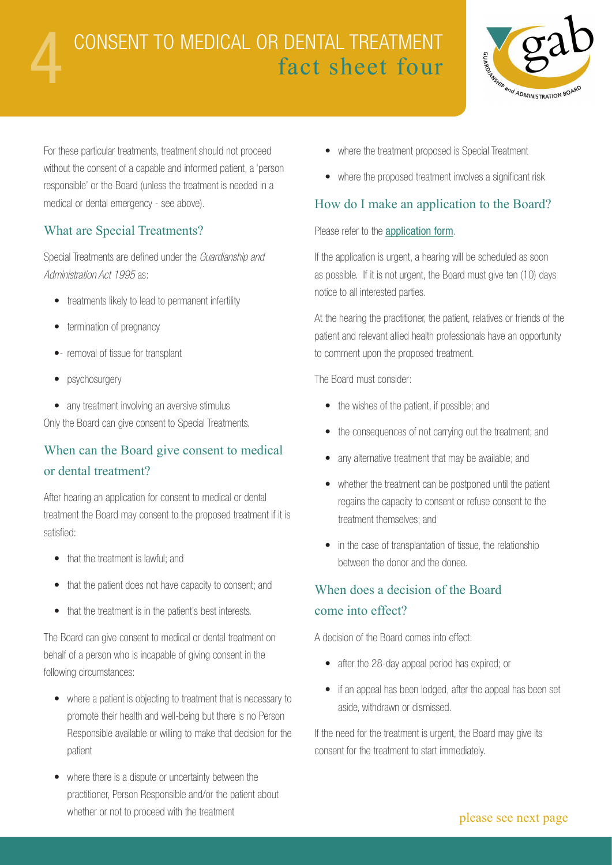# 4 CONSENT TO MEDICAL OR DENTAL TREATMENT fact sheet four



For these particular treatments, treatment should not proceed without the consent of a capable and informed patient, a 'person responsible' or the Board (unless the treatment is needed in a medical or dental emergency - see above).

#### What are Special Treatments?

Special Treatments are defined under the *Guardianship and Administration Act 1995* as:

- treatments likely to lead to permanent infertility
- termination of pregnancy
- removal of tissue for transplant
- psychosurgery
- any treatment involving an aversive stimulus

Only the Board can give consent to Special Treatments.

# When can the Board give consent to medical or dental treatment?

After hearing an application for consent to medical or dental treatment the Board may consent to the proposed treatment if it is satisfied:

- that the treatment is lawful: and
- that the patient does not have capacity to consent; and
- that the treatment is in the patient's best interests.

The Board can give consent to medical or dental treatment on behalf of a person who is incapable of giving consent in the following circumstances:

- where a patient is objecting to treatment that is necessary to promote their health and well-being but there is no Person Responsible available or willing to make that decision for the patient
- where there is a dispute or uncertainty between the practitioner, Person Responsible and/or the patient about whether or not to proceed with the treatment
- where the treatment proposed is Special Treatment
- where the proposed treatment involves a significant risk

#### How do I make an application to the Board?

#### Please refer to the [application form](http://www.guardianship.tas.gov.au/forms2).

If the application is urgent, a hearing will be scheduled as soon as possible. If it is not urgent, the Board must give ten (10) days notice to all interested parties.

At the hearing the practitioner, the patient, relatives or friends of the patient and relevant allied health professionals have an opportunity to comment upon the proposed treatment.

The Board must consider:

- the wishes of the patient, if possible; and
- the consequences of not carrying out the treatment; and
- any alternative treatment that may be available; and
- whether the treatment can be postponed until the patient regains the capacity to consent or refuse consent to the treatment themselves; and
- in the case of transplantation of tissue, the relationship between the donor and the donee.

# When does a decision of the Board come into effect?

A decision of the Board comes into effect:

- after the 28-day appeal period has expired; or
- if an appeal has been lodged, after the appeal has been set aside, withdrawn or dismissed.

If the need for the treatment is urgent, the Board may give its consent for the treatment to start immediately.